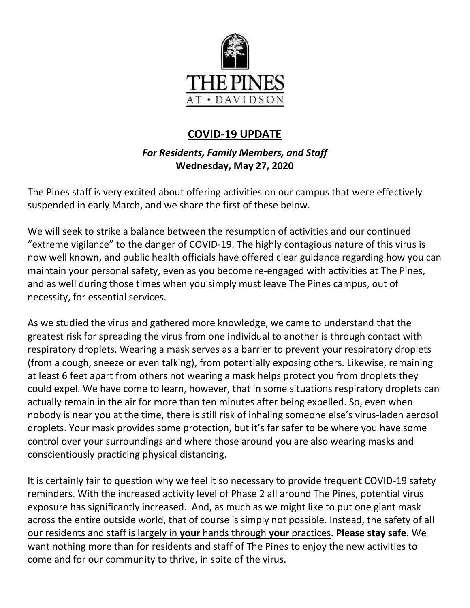

# **COVID-19 UPDATE**

## *For Residents, Family Members, and Staff* **Wednesday, May 27, 2020**

The Pines staff is very excited about offering activities on our campus that were effectively suspended in early March, and we share the first of these below.

We will seek to strike a balance between the resumption of activities and our continued "extreme vigilance" to the danger of COVID-19. The highly contagious nature of this virus is now well known, and public health officials have offered clear guidance regarding how you can maintain your personal safety, even as you become re-engaged with activities at The Pines, and as well during those times when you simply must leave The Pines campus, out of necessity, for essential services.

As we studied the virus and gathered more knowledge, we came to understand that the greatest risk for spreading the virus from one individual to another is through contact with respiratory droplets. Wearing a mask serves as a barrier to prevent your respiratory droplets (from a cough, sneeze or even talking), from potentially exposing others. Likewise, remaining at least 6 feet apart from others not wearing a mask helps protect you from droplets they could expel. We have come to learn, however, that in some situations respiratory droplets can actually remain in the air for more than ten minutes after being expelled. So, even when nobody is near you at the time, there is still risk of inhaling someone else's virus-laden aerosol droplets. Your mask provides some protection, but it's far safer to be where you have some control over your surroundings and where those around you are also wearing masks and conscientiously practicing physical distancing.

It is certainly fair to question why we feel it so necessary to provide frequent COVID-19 safety reminders. With the increased activity level of Phase 2 all around The Pines, potential virus exposure has significantly increased. And, as much as we might like to put one giant mask across the entire outside world, that of course is simply not possible. Instead, the safety of all our residents and staff is largely in **your** hands through **your** practices. **Please stay safe**. We want nothing more than for residents and staff of The Pines to enjoy the new activities to come and for our community to thrive, in spite of the virus.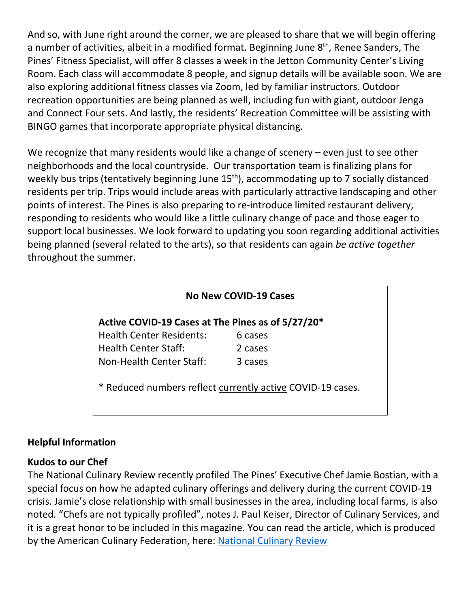And so, with June right around the corner, we are pleased to share that we will begin offering a number of activities, albeit in a modified format. Beginning June 8<sup>th</sup>, Renee Sanders, The Pines' Fitness Specialist, will offer 8 classes a week in the Jetton Community Center's Living Room. Each class will accommodate 8 people, and signup details will be available soon. We are also exploring additional fitness classes via Zoom, led by familiar instructors. Outdoor recreation opportunities are being planned as well, including fun with giant, outdoor Jenga and Connect Four sets. And lastly, the residents' Recreation Committee will be assisting with BINGO games that incorporate appropriate physical distancing.

We recognize that many residents would like a change of scenery – even just to see other neighborhoods and the local countryside. Our transportation team is finalizing plans for weekly bus trips (tentatively beginning June 15<sup>th</sup>), accommodating up to 7 socially distanced residents per trip. Trips would include areas with particularly attractive landscaping and other points of interest. The Pines is also preparing to re-introduce limited restaurant delivery, responding to residents who would like a little culinary change of pace and those eager to support local businesses. We look forward to updating you soon regarding additional activities being planned (several related to the arts), so that residents can again *be active together* throughout the summer.

| No New COVID-19 Cases                                      |         |
|------------------------------------------------------------|---------|
| Active COVID-19 Cases at The Pines as of 5/27/20*          |         |
| <b>Health Center Residents:</b>                            | 6 cases |
| <b>Health Center Staff:</b>                                | 2 cases |
| Non-Health Center Staff:                                   | 3 cases |
| * Reduced numbers reflect currently active COVID-19 cases. |         |

### **Helpful Information**

### **Kudos to our Chef**

The National Culinary Review recently profiled The Pines' Executive Chef Jamie Bostian, with a special focus on how he adapted culinary offerings and delivery during the current COVID-19 crisis. Jamie's close relationship with small businesses in the area, including local farms, is also noted. "Chefs are not typically profiled", notes J. Paul Keiser, Director of Culinary Services, and it is a great honor to be included in this magazine. You can read the article, which is produced by the American Culinary Federation, here: [National Culinary Review](https://www.mycommunity-center.com/filephotos/463/Pages%20from%20Culinary%20Review.pdf)